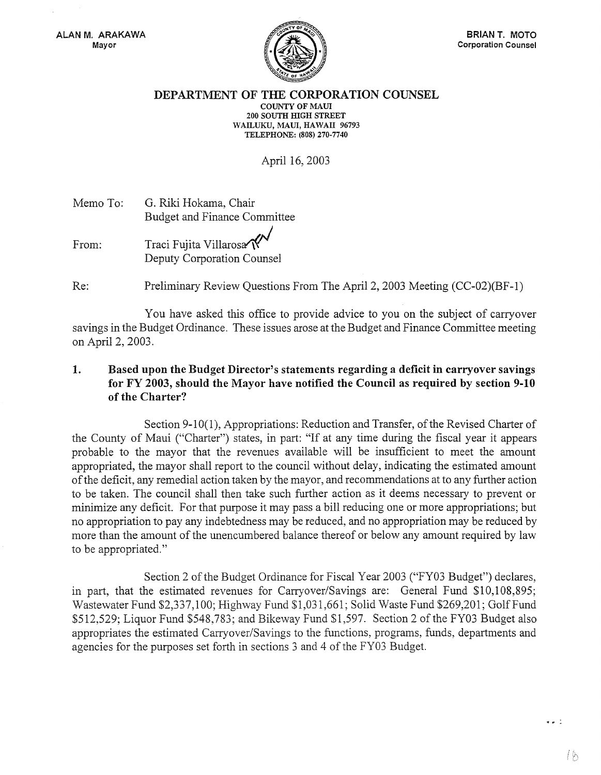

## DEPARTMENT OF THE CORPORATION COUNSEL COUNTY OF MAUl 200 SOUTH mGH STREET WAILUKU, MAUI, HAWAII 96793 TELEPHONE: (808) 270-7740

April 16, 2003

Memo To: From: G. Riki Hokama, Chair Budget and Finance Committee Traci Fujita Villarosa Deputy Corporation Counsel

Re: Preliminary Review Questions From The April 2, 2003 Meeting (CC-02)(BF-1)

You have asked this office to provide advice to you on the subject of carryover savings in the Budget Ordinance. These issues arose at the Budget and Finance Committee meeting on April 2, 2003.

## 1. Based upon the Budget Director's statements regarding a deficit in carryover savings for FY 2003, should the Mayor have notified the Council as required by section 9-10 of the Charter?

Section 9-10(1), Appropriations: Reduction and Transfer, of the Revised Charter of the County of Maui ("Charter") states, in part: "If at any time during the fiscal year it appears probable to the mayor that the revenues available will be insufficient to meet the amount appropriated, the mayor shall report to the council without delay, indicating the estimated amount of the deficit, any remedial action taken by the mayor, and recommendations at to any further action to be taken. The council shall then take such further action as it deems necessary to prevent or minimize any deficit. For that purpose it may pass a bill reducing one or more appropriations; but no appropriation to pay any indebtedness may be reduced, and no appropriation may be reduced by more than the amount of the unencumbered balance thereof or below any amount required by law to be appropriated."

Section 2 of the Budget Ordinance for Fiscal Year 2003 ("FY03 Budget") declares, in part, that the estimated revenues for Carryover/Savings are: General Fund \$10,108,895; Wastewater Fund \$2,337,100; Highway Fund \$1,031,661; Solid Waste Fund \$269,201; Golf Fund \$512,529; Liquor Fund \$548,783; and Bikeway Fund \$1,597. Section 2 of the FY03 Budget also appropriates the estimated Carryover/Savings to the functions, programs, funds, departments and agencies for the purposes set forth in sections 3 and 4 of the FY03 Budget.

 $\sim$   $\sim$   $\sim$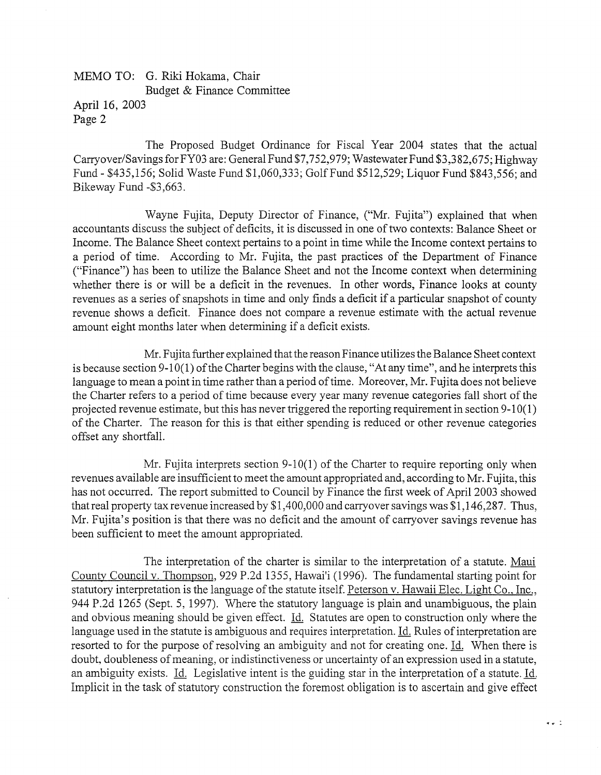## MEMO TO: G. Riki Hokama, Chair Budget & Finance Committee April 16, 2003

Page 2

The Proposed Budget Ordinance for Fiscal Year 2004 states that the actual Carryover/Savings for FY03 are: General Fund \$7,752,979; Wastewater Fund \$3,382,675; Highway Fund - \$435,156; Solid Waste Fund \$1,060,333; Golf Fund \$512,529; Liquor Fund \$843,556; and Bikeway Fund -\$3,663.

Wayne Fujita, Deputy Director of Finance, ("Mr. Fujita") explained that when accountants discuss the subject of deficits, it is discussed in one of two contexts: Balance Sheet or Income. The Balance Sheet context pertains to a point in time while the Income context pertains to a period of time. According to Mr. Fujita, the past practices of the Department of Finance ("Finance") has been to utilize the Balance Sheet and not the Income context when determining whether there is or will be a deficit in the revenues. In other words, Finance looks at county revenues as a series of snapshots in time and only finds a deficit if a particular snapshot of county revenue shows a deficit. Finance does not compare a revenue estimate with the actual revenue amount eight months later when determining if a deficit exists.

Mr. Fujita further explained that the reason Finance utilizes the Balance Sheet context is because section 9-10(1) of the Charter begins with the clause, "At any time", and he interprets this language to mean a point in time rather than a period of time. Moreover, Mr. Fujita does not believe the Charter refers to a period of time because every year many revenue categories fall short of the projected revenue estimate, but this has never triggered the reporting requirement in section 9-10(1) of the Charter. The reason for this is that either spending is reduced or other revenue categories offset any shortfall.

Mr. Fujita interprets section 9-10(1) of the Charter to require reporting only when revenues available are insufficient to meet the amount appropriated and, according to Mr. Fujita, this has not occurred. The report submitted to Council by Finance the first week of April 2003 showed that real property tax revenue increased by \$1,400,000 and carryover savings was \$1,146,287. Thus, Mr. Fujita's position is that there was no deficit and the amount of carryover savings revenue has been sufficient to meet the amount appropriated.

The interpretation of the charter is similar to the interpretation of a statute. Maui County Council v. Thompson, 929 P.2d 1355, Hawai'i (1996). The fundamental starting point for statutory interpretation is the language of the statute itself. Peterson v. Hawaii Elec. Light Co., Inc., 944 P.2d 1265 (Sept. 5, 1997). Where the statutory language is plain and unambiguous, the plain and obvious meaning should be given effect. Id. Statutes are open to construction only where the language used in the statute is ambiguous and requires interpretation. Id. Rules of interpretation are resorted to for the purpose of resolving an ambiguity and not for creating one. Id. When there is doubt, doubleness of meaning, or indistinctiveness or uncertainty of an expression used in a statute, an ambiguity exists. Id. Legislative intent is the guiding star in the interpretation of a statute. Id. Implicit in the task of statutory construction the foremost obligation is to ascertain and give effect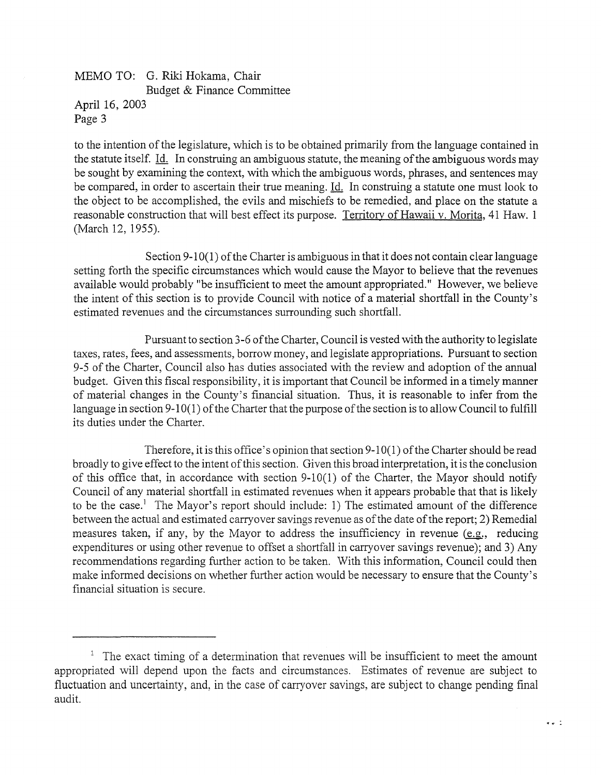MEMO TO: G. Riki Hokama, Chair Budget & Finance Committee April 16, 2003 Page 3

to the intention of the legislature, which is to be obtained primarily from the language contained in the statute itself. Id. In construing an ambiguous statute, the meaning of the ambiguous words may be sought by examining the context, with which the ambiguous words, phrases, and sentences may be compared, in order to ascertain their true meaning. Id. In construing a statute one must look to the object to be accomplished, the evils and mischiefs to be remedied, and place on the statute a reasonable construction that will best effect its purpose. Territorv of Hawaii v. Morita, 41 Haw. 1 (March 12, 1955).

Section 9-10(1) of the Charter is ambiguous in that it does not contain clear language setting forth the specific circumstances which would cause the Mayor to believe that the revenues available would probably "be insufficient to meet the amount appropriated." However, we believe the intent of this section is to provide Council with notice of a material shortfall in the County's estimated revenues and the circumstances surrounding such shortfall.

Pursuant to section 3-6 ofthe Charter, Council is vested with the authority to legislate taxes, rates, fees, and assessments, borrow money, and legislate appropriations. Pursuant to section 9-5 of the Charter, Council also has duties associated with the review and adoption of the annual budget. Given this fiscal responsibility, it is important that Council be informed in a timely manner of material changes in the County's financial situation. Thus, it is reasonable to infer from the language in section 9-10(1) of the Charter that the purpose of the section is to allow Council to fulfill its duties under the Charter.

Therefore, it is this office's opinion that section  $9-10(1)$  of the Charter should be read broadly to give effect to the intent of this section. Given this broad interpretation, it is the conclusion of this office that, in accordance with section 9-10(1) of the Charter, the Mayor should notify Council of any material shortfall in estimated revenues when it appears probable that that is likely to be the case.<sup>1</sup> The Mayor's report should include: 1) The estimated amount of the difference between the actual and estimated carryover savings revenue as of the date of the report; 2) Remedial measures taken, if any, by the Mayor to address the insufficiency in revenue (e.g., reducing expenditures or using other revenue to offset a shortfall in carryover savings revenue); and 3) Any recommendations regarding further action to be taken. With this information, Council could then make informed decisions on whether further action would be necessary to ensure that the County's financiai situation is secure.

 $\bullet$   $\bullet$   $\stackrel{?}{=}$ 

 $1$  The exact timing of a determination that revenues will be insufficient to meet the amount appropriated will depend upon the facts and circumstances. Estimates of revenue are subject to fluctuation and uncertainty, and, in the case of carryover savings, are subject to change pending final audit.